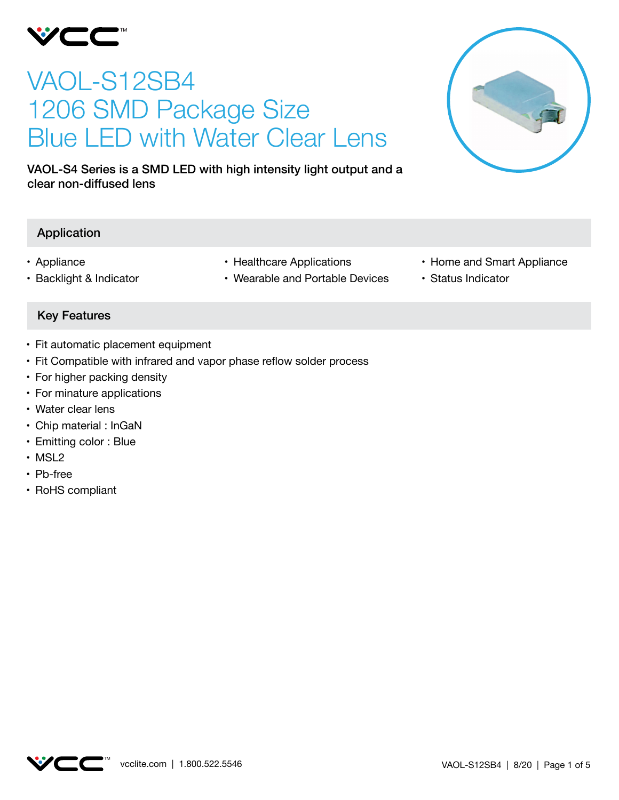

# VAOL-S12SB4 1206 SMD Package Size Blue LED with Water Clear Lens

VAOL-S4 Series is a SMD LED with high intensity light output and a clear non-diffused lens

## Application

- • Appliance
- • Backlight & Indicator
- Healthcare Applications
- Wearable and Portable Devices
- Home and Smart Appliance
- • Status Indicator

## Key Features

- Fit automatic placement equipment
- Fit Compatible with infrared and vapor phase reflow solder process
- For higher packing density
- For minature applications
- Water clear lens
- Chip material : InGaN
- Emitting color : Blue
- MSL2
- Pb-free
- RoHS compliant

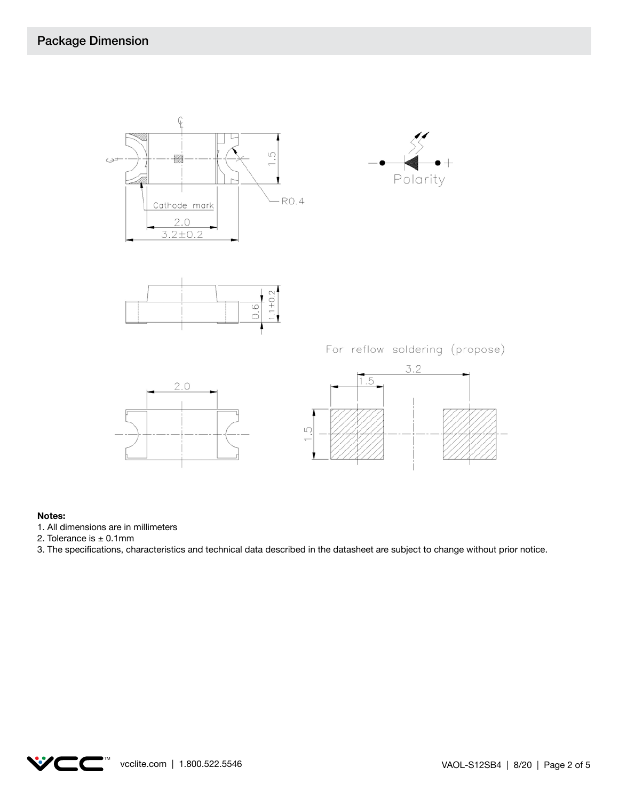



For reflow soldering (propose)





#### **Notes:**

- 1. All dimensions are in millimeters
- 2. Tolerance is  $\pm$  0.1mm
- 3. The specifications, characteristics and technical data described in the datasheet are subject to change without prior notice.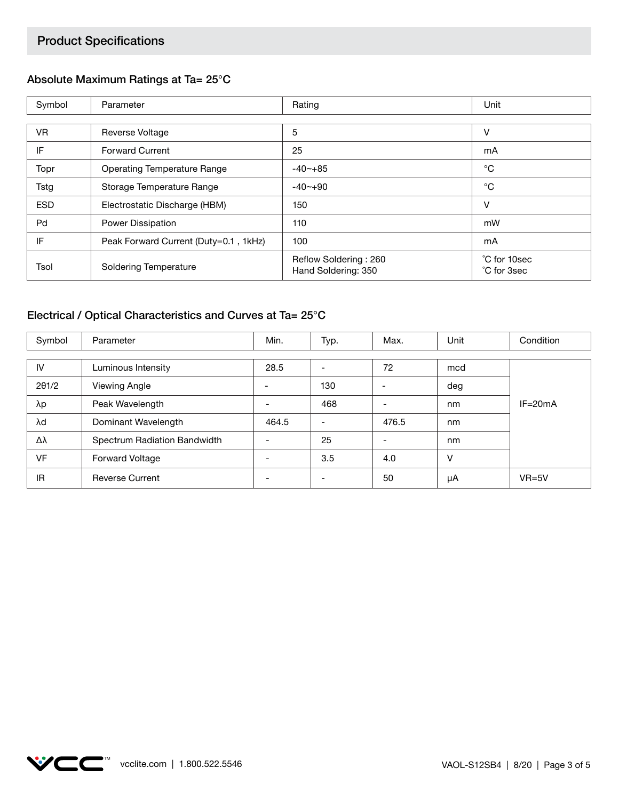# Product Specifications

## Absolute Maximum Ratings at Ta= 25°C

| Symbol     | Parameter                             | Rating                                       | Unit                        |
|------------|---------------------------------------|----------------------------------------------|-----------------------------|
|            |                                       |                                              |                             |
| <b>VR</b>  | <b>Reverse Voltage</b>                | 5                                            | v                           |
| IF         | <b>Forward Current</b>                | 25                                           | mA                          |
| Topr       | <b>Operating Temperature Range</b>    | $-40$ $-+85$                                 | °C                          |
| Tstg       | Storage Temperature Range             | $-40 - +90$                                  | °C                          |
| <b>ESD</b> | Electrostatic Discharge (HBM)         | 150                                          | v                           |
| Pd         | Power Dissipation                     | 110                                          | mW                          |
| IF         | Peak Forward Current (Duty=0.1, 1kHz) | 100                                          | mA                          |
| Tsol       | <b>Soldering Temperature</b>          | Reflow Soldering: 260<br>Hand Soldering: 350 | °C for 10sec<br>°C for 3sec |

# Electrical / Optical Characteristics and Curves at Ta= 25°C

| Symbol | Parameter                    | Min.  | Typ. | Max.  | Unit | Condition   |
|--------|------------------------------|-------|------|-------|------|-------------|
|        |                              |       |      |       |      |             |
| IV     | Luminous Intensity           | 28.5  |      | 72    | mcd  |             |
| 201/2  | Viewing Angle                |       | 130  |       | deg  |             |
| λp     | Peak Wavelength              |       | 468  |       | nm   | $IF = 20mA$ |
| λd     | Dominant Wavelength          | 464.5 |      | 476.5 | nm   |             |
| Δλ     | Spectrum Radiation Bandwidth |       | 25   |       | nm   |             |
| VF     | Forward Voltage              |       | 3.5  | 4.0   | v    |             |
| IR     | <b>Reverse Current</b>       |       |      | 50    | μA   | $VR=5V$     |

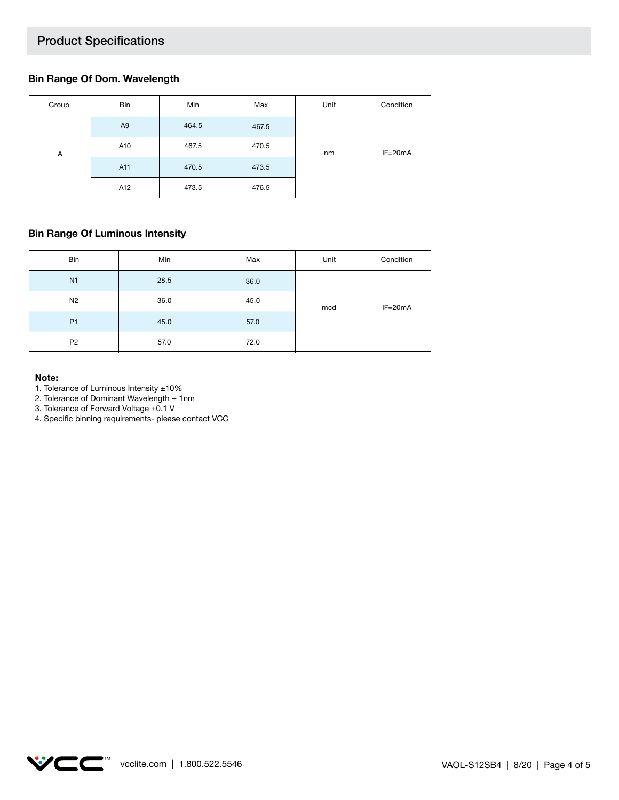## Product Specifications

#### **Bin Range Of Dom. Wavelength**

| Group | Bin            | Min   | Max   | Unit | Condition   |
|-------|----------------|-------|-------|------|-------------|
|       | A <sub>9</sub> | 464.5 | 467.5 | nm   | $IF = 20mA$ |
| Α     | A10            | 467.5 | 470.5 |      |             |
|       | A11            | 470.5 | 473.5 |      |             |
|       | A12            | 473.5 | 476.5 |      |             |

#### **Bin Range Of Luminous Intensity**

| Bin            | Min  | Max  | Unit | Condition   |
|----------------|------|------|------|-------------|
| N <sub>1</sub> | 28.5 | 36.0 |      | $IF = 20mA$ |
| N <sub>2</sub> | 36.0 | 45.0 | mcd  |             |
| P <sub>1</sub> | 45.0 | 57.0 |      |             |
| P <sub>2</sub> | 57.0 | 72.0 |      |             |

#### **Note:**

1. Tolerance of Luminous Intensity ±10%

2. Tolerance of Dominant Wavelength  $\pm$  1nm

3. Tolerance of Forward Voltage ±0.1 V

4. Specific binning requirements- please contact VCC

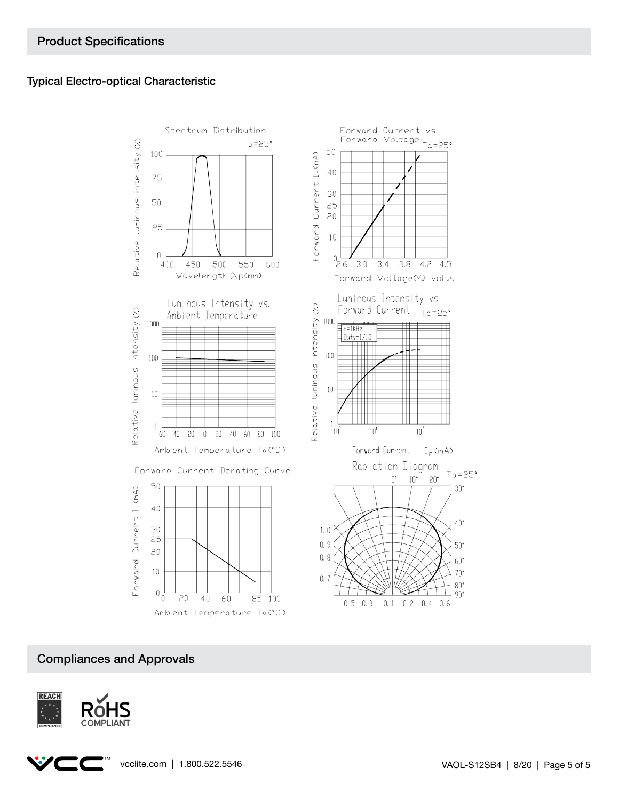### Typical Electro-optical Characteristic



## Compliances and Approvals

![](_page_4_Picture_4.jpeg)

![](_page_4_Picture_5.jpeg)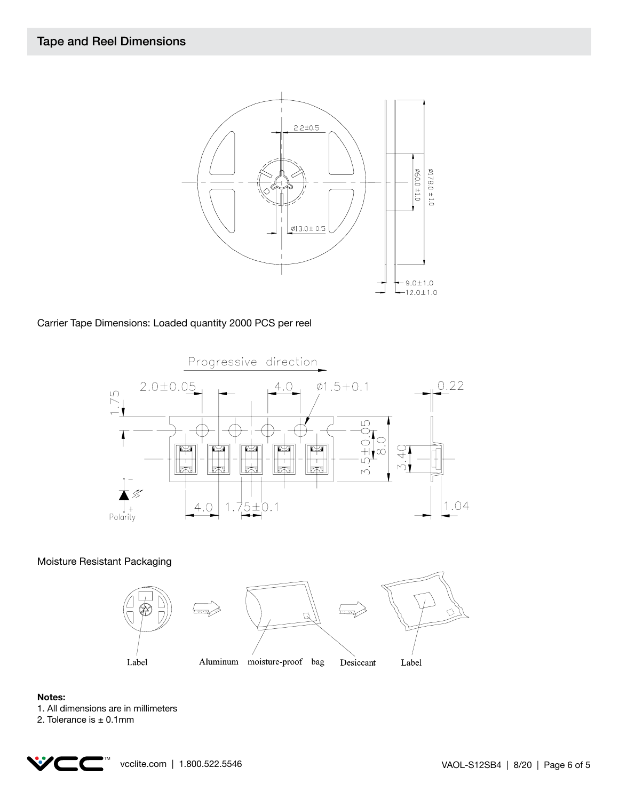![](_page_5_Figure_1.jpeg)

Carrier Tape Dimensions: Loaded quantity 2000 PCS per reel

![](_page_5_Figure_3.jpeg)

Moisture Resistant Packaging

![](_page_5_Figure_5.jpeg)

#### **Notes:**

- 1. All dimensions are in millimeters
- 2. Tolerance is  $\pm$  0.1mm

![](_page_5_Picture_9.jpeg)